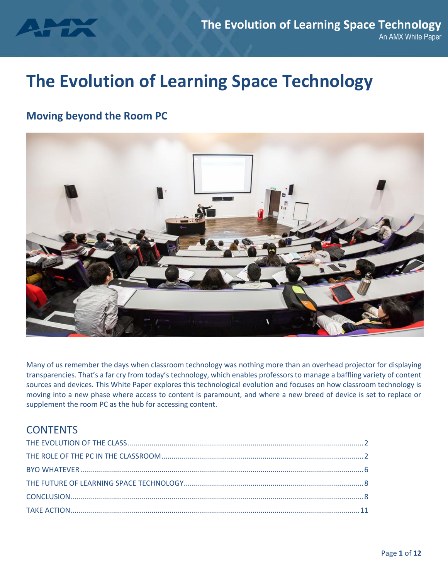

# **The Evolution of Learning Space Technology**

# **Moving beyond the Room PC**



Many of us remember the days when classroom technology was nothing more than an overhead projector for displaying transparencies. That's a far cry from today's technology, which enables professors to manage a baffling variety of content sources and devices. This White Paper explores this technological evolution and focuses on how classroom technology is moving into a new phase where access to content is paramount, and where a new breed of device is set to replace or supplement the room PC as the hub for accessing content.

# **CONTENTS**

<span id="page-0-0"></span>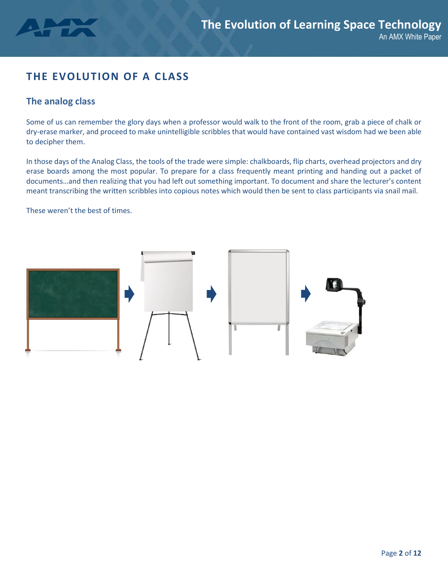

# **THE EVOLUTION OF A CLASS**

# **The analog class**

Some of us can remember the glory days when a professor would walk to the front of the room, grab a piece of chalk or dry-erase marker, and proceed to make unintelligible scribbles that would have contained vast wisdom had we been able to decipher them.

In those days of the Analog Class, the tools of the trade were simple: chalkboards, flip charts, overhead projectors and dry erase boards among the most popular. To prepare for a class frequently meant printing and handing out a packet of documents…and then realizing that you had left out something important. To document and share the lecturer's content meant transcribing the written scribbles into copious notes which would then be sent to class participants via snail mail.

These weren't the best of times.

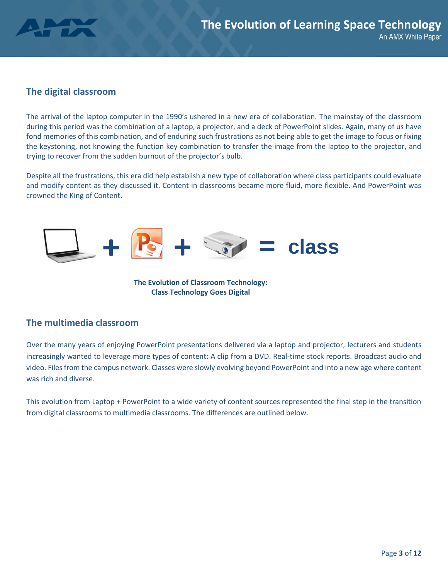

## **The digital classroom**

The arrival of the laptop computer in the 1990's ushered in a new era of collaboration. The mainstay of the classroom during this period was the combination of a laptop, a projector, and a deck of PowerPoint slides. Again, many of us have fond memories of this combination, and of enduring such frustrations as not being able to get the image to focus or fixing the keystoning, not knowing the function key combination to transfer the image from the laptop to the projector, and trying to recover from the sudden burnout of the projector's bulb.

Despite all the frustrations, this era did help establish a new type of collaboration where class participants could evaluate and modify content as they discussed it. Content in classrooms became more fluid, more flexible. And PowerPoint was crowned the King of Content.



**The Evolution of Classroom Technology: Class Technology Goes Digital**

### **The multimedia classroom**

Over the many years of enjoying PowerPoint presentations delivered via a laptop and projector, lecturers and students increasingly wanted to leverage more types of content: A clip from a DVD. Real-time stock reports. Broadcast audio and video. Files from the campus network. Classes were slowly evolving beyond PowerPoint and into a new age where content was rich and diverse.

This evolution from Laptop + PowerPoint to a wide variety of content sources represented the final step in the transition from digital classrooms to multimedia classrooms. The differences are outlined below.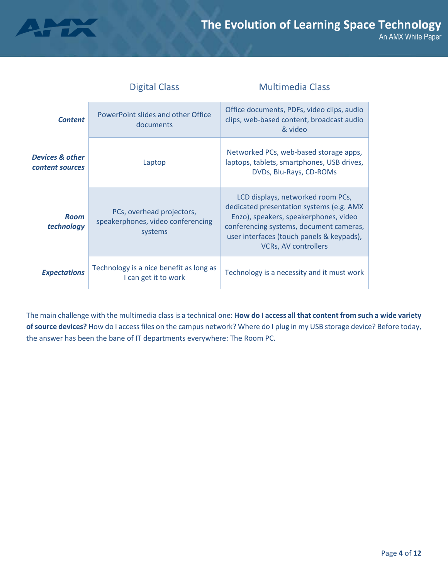

| <b>Digital Class</b>                                              |                                                                           | <b>Multimedia Class</b>                                                                                                                                                                                                                       |  |
|-------------------------------------------------------------------|---------------------------------------------------------------------------|-----------------------------------------------------------------------------------------------------------------------------------------------------------------------------------------------------------------------------------------------|--|
| PowerPoint slides and other Office<br><b>Content</b><br>documents |                                                                           | Office documents, PDFs, video clips, audio<br>clips, web-based content, broadcast audio<br>& video                                                                                                                                            |  |
| <b>Devices &amp; other</b><br>Laptop<br>content sources           |                                                                           | Networked PCs, web-based storage apps,<br>laptops, tablets, smartphones, USB drives,<br>DVDs, Blu-Rays, CD-ROMs                                                                                                                               |  |
| <b>Room</b><br>technology                                         | PCs, overhead projectors,<br>speakerphones, video conferencing<br>systems | LCD displays, networked room PCs,<br>dedicated presentation systems (e.g. AMX<br>Enzo), speakers, speakerphones, video<br>conferencing systems, document cameras,<br>user interfaces (touch panels & keypads),<br><b>VCRs, AV controllers</b> |  |
| <b>Expectations</b>                                               | Technology is a nice benefit as long as<br>I can get it to work           | Technology is a necessity and it must work                                                                                                                                                                                                    |  |

The main challenge with the multimedia class is a technical one: **How do I access all that content from such a wide variety of source devices?** How do I access files on the campus network? Where do I plug in my USB storage device? Before today, the answer has been the bane of IT departments everywhere: The Room PC.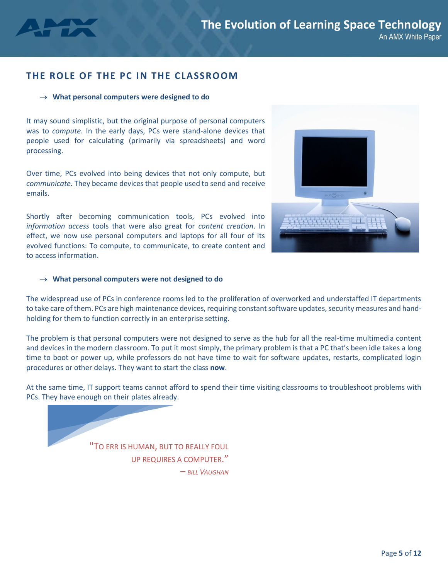

## **THE ROLE OF THE PC IN THE CLASSROOM**

#### **What personal computers were designed to do**

It may sound simplistic, but the original purpose of personal computers was to *compute*. In the early days, PCs were stand-alone devices that people used for calculating (primarily via spreadsheets) and word processing.

Over time, PCs evolved into being devices that not only compute, but *communicate.* They became devices that people used to send and receive emails.

Shortly after becoming communication tools, PCs evolved into *information access* tools that were also great for *content creation*. In effect, we now use personal computers and laptops for all four of its evolved functions: To compute, to communicate, to create content and to access information.



#### **What personal computers were not designed to do**

The widespread use of PCs in conference rooms led to the proliferation of overworked and understaffed IT departments to take care of them. PCs are high maintenance devices, requiring constant software updates, security measures and handholding for them to function correctly in an enterprise setting.

The problem is that personal computers were not designed to serve as the hub for all the real-time multimedia content and devices in the modern classroom. To put it most simply, the primary problem is that a PC that's been idle takes a long time to boot or power up, while professors do not have time to wait for software updates, restarts, complicated login procedures or other delays. They want to start the class **now**.

At the same time, IT support teams cannot afford to spend their time visiting classrooms to troubleshoot problems with PCs. They have enough on their plates already.

> "TO ERR IS HUMAN, BUT TO REALLY FOUL UP REQUIRES A COMPUTER."

– *BILL VAUGHAN*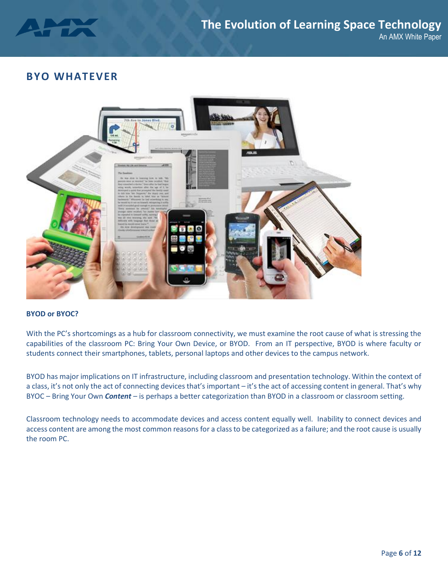

# <span id="page-5-0"></span>**BYO WHATEVER**



#### **BYOD or BYOC?**

With the PC's shortcomings as a hub for classroom connectivity, we must examine the root cause of what is stressing the capabilities of the classroom PC: Bring Your Own Device, or BYOD. From an IT perspective, BYOD is where faculty or students connect their smartphones, tablets, personal laptops and other devices to the campus network.

BYOD has major implications on IT infrastructure, including classroom and presentation technology. Within the context of a class, it's not only the act of connecting devices that's important – it's the act of accessing content in general. That's why BYOC – Bring Your Own *Content* – is perhaps a better categorization than BYOD in a classroom or classroom setting.

Classroom technology needs to accommodate devices and access content equally well. Inability to connect devices and access content are among the most common reasons for a class to be categorized as a failure; and the root cause is usually the room PC.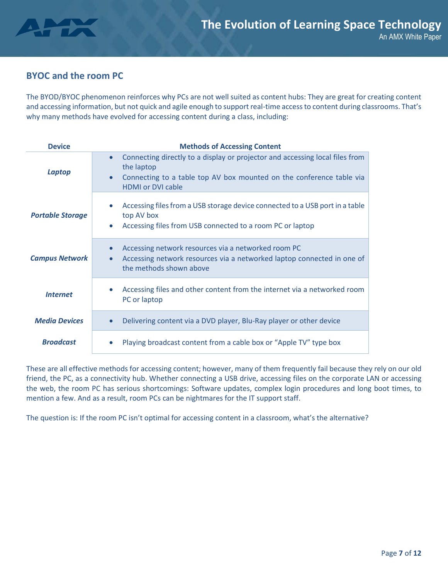

# **BYOC and the room PC**

The BYOD/BYOC phenomenon reinforces why PCs are not well suited as content hubs: They are great for creating content and accessing information, but not quick and agile enough to support real-time access to content during classrooms. That's why many methods have evolved for accessing content during a class, including:

| <b>Device</b>           | <b>Methods of Accessing Content</b>                                                                                                                                                                                      |  |  |  |
|-------------------------|--------------------------------------------------------------------------------------------------------------------------------------------------------------------------------------------------------------------------|--|--|--|
| Laptop                  | Connecting directly to a display or projector and accessing local files from<br>$\bullet$<br>the laptop<br>Connecting to a table top AV box mounted on the conference table via<br>$\bullet$<br><b>HDMI or DVI cable</b> |  |  |  |
| <b>Portable Storage</b> | Accessing files from a USB storage device connected to a USB port in a table<br>$\bullet$<br>top AV box<br>Accessing files from USB connected to a room PC or laptop<br>$\bullet$                                        |  |  |  |
| <b>Campus Network</b>   | Accessing network resources via a networked room PC<br>$\bullet$<br>Accessing network resources via a networked laptop connected in one of<br>$\bullet$<br>the methods shown above                                       |  |  |  |
| <b>Internet</b>         | Accessing files and other content from the internet via a networked room<br>PC or laptop                                                                                                                                 |  |  |  |
| <b>Media Devices</b>    | Delivering content via a DVD player, Blu-Ray player or other device<br>$\bullet$                                                                                                                                         |  |  |  |
| <b>Broadcast</b>        | Playing broadcast content from a cable box or "Apple TV" type box                                                                                                                                                        |  |  |  |

These are all effective methods for accessing content; however, many of them frequently fail because they rely on our old friend, the PC, as a connectivity hub. Whether connecting a USB drive, accessing files on the corporate LAN or accessing the web, the room PC has serious shortcomings: Software updates, complex login procedures and long boot times, to mention a few. And as a result, room PCs can be nightmares for the IT support staff.

The question is: If the room PC isn't optimal for accessing content in a classroom, what's the alternative?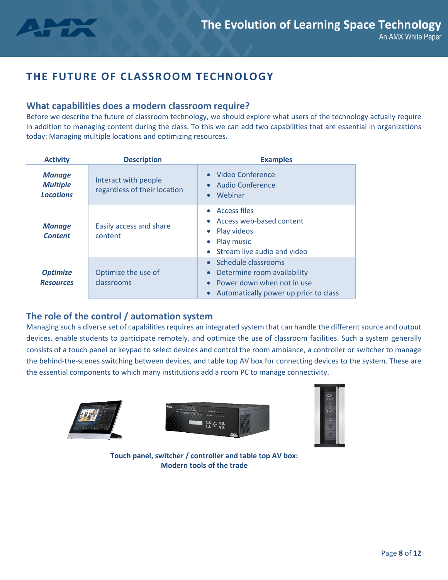

# <span id="page-7-0"></span>**THE FUTURE OF CLASSROOM TECHNOLOGY**

### **What capabilities does a modern classroom require?**

Before we describe the future of classroom technology, we should explore what users of the technology actually require in addition to managing content during the class. To this we can add two capabilities that are essential in organizations today: Managing multiple locations and optimizing resources.

| <b>Activity</b>                                      | <b>Description</b>                                   | <b>Examples</b>                                                                                                           |  |
|------------------------------------------------------|------------------------------------------------------|---------------------------------------------------------------------------------------------------------------------------|--|
| <b>Manage</b><br><b>Multiple</b><br><b>Locations</b> | Interact with people<br>regardless of their location | Video Conference<br>Audio Conference<br>Webinar                                                                           |  |
| <b>Manage</b><br><b>Content</b>                      | Easily access and share<br>content                   | <b>Access files</b><br>Access web-based content<br>• Play videos<br>Play music<br>Stream live audio and video             |  |
| <b>Optimize</b><br><b>Resources</b>                  | Optimize the use of<br>classrooms                    | Schedule classrooms<br>Determine room availability<br>Power down when not in use<br>Automatically power up prior to class |  |

# **The role of the control / automation system**

Managing such a diverse set of capabilities requires an integrated system that can handle the different source and output devices, enable students to participate remotely, and optimize the use of classroom facilities. Such a system generally consists of a touch panel or keypad to select devices and control the room ambiance, a controller or switcher to manage the behind-the-scenes switching between devices, and table top AV box for connecting devices to the system. These are the essential components to which many institutions add a room PC to manage connectivity.







**Touch panel, switcher / controller and table top AV box: Modern tools of the trade**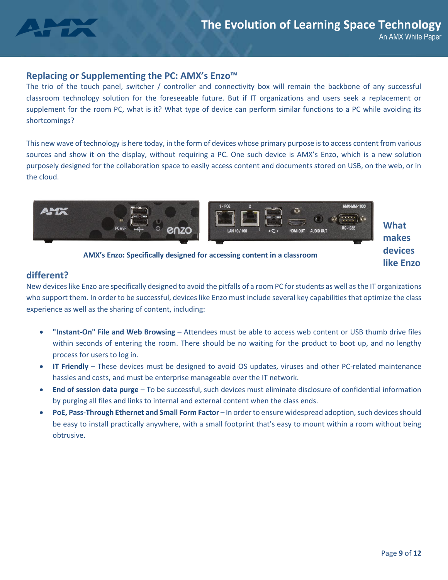

#### **Replacing or Supplementing the PC: AMX's Enzo™**

The trio of the touch panel, switcher / controller and connectivity box will remain the backbone of any successful classroom technology solution for the foreseeable future. But if IT organizations and users seek a replacement or supplement for the room PC, what is it? What type of device can perform similar functions to a PC while avoiding its shortcomings?

This new wave of technology is here today, in the form of devices whose primary purpose is to access content from various sources and show it on the display, without requiring a PC. One such device is AMX's Enzo, which is a new solution purposely designed for the collaboration space to easily access content and documents stored on USB, on the web, or in the cloud.



**What makes devices like Enzo** 

**AMX's Enzo: Specifically designed for accessing content in a classroom**

### **different?**

New devices like Enzo are specifically designed to avoid the pitfalls of a room PC for students as well as the IT organizations who support them. In order to be successful, devices like Enzo must include several key capabilities that optimize the class experience as well as the sharing of content, including:

- **"Instant-On" File and Web Browsing** Attendees must be able to access web content or USB thumb drive files within seconds of entering the room. There should be no waiting for the product to boot up, and no lengthy process for users to log in.
- **IT Friendly** These devices must be designed to avoid OS updates, viruses and other PC-related maintenance hassles and costs, and must be enterprise manageable over the IT network.
- **End of session data purge** To be successful, such devices must eliminate disclosure of confidential information by purging all files and links to internal and external content when the class ends.
- **PoE, Pass-Through Ethernet and Small Form Factor**  In order to ensure widespread adoption, such devices should be easy to install practically anywhere, with a small footprint that's easy to mount within a room without being obtrusive.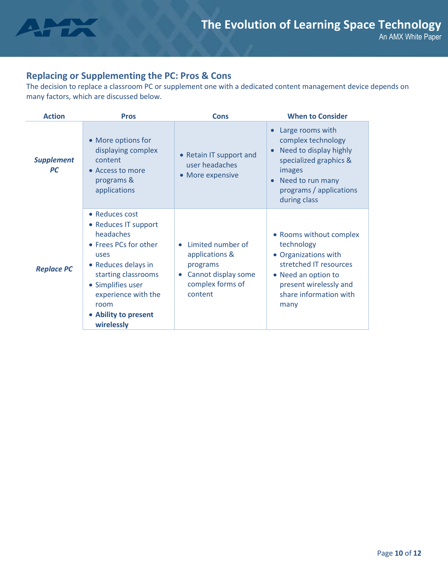

# **Replacing or Supplementing the PC: Pros & Cons**

The decision to replace a classroom PC or supplement one with a dedicated content management device depends on many factors, which are discussed below.

| <b>Action</b>                  | <b>Pros</b>                                                                                                                                                                                                                  | <b>Cons</b>                                                                                                        | <b>When to Consider</b>                                                                                                                                                    |
|--------------------------------|------------------------------------------------------------------------------------------------------------------------------------------------------------------------------------------------------------------------------|--------------------------------------------------------------------------------------------------------------------|----------------------------------------------------------------------------------------------------------------------------------------------------------------------------|
| <b>Supplement</b><br><b>PC</b> | • More options for<br>displaying complex<br>content<br>• Access to more<br>programs &<br>applications                                                                                                                        | • Retain IT support and<br>user headaches<br>• More expensive                                                      | Large rooms with<br>complex technology<br>Need to display highly<br>specialized graphics &<br>images<br>Need to run many<br>programs / applications<br>during class        |
| <b>Replace PC</b>              | • Reduces cost<br>• Reduces IT support<br>headaches<br>• Frees PCs for other<br>uses<br>• Reduces delays in<br>starting classrooms<br>• Simplifies user<br>experience with the<br>room<br>• Ability to present<br>wirelessly | Limited number of<br>applications &<br>programs<br>Cannot display some<br>$\bullet$<br>complex forms of<br>content | • Rooms without complex<br>technology<br>• Organizations with<br>stretched IT resources<br>• Need an option to<br>present wirelessly and<br>share information with<br>many |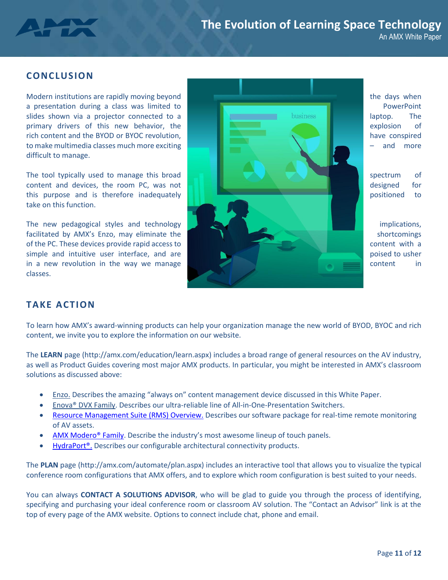

#### **CONCLUSION**

difficult to manage.

take on this function.

classes.



<span id="page-10-0"></span>**TAKE ACTION**

To learn how AMX's award-winning products can help your organization manage the new world of BYOD, BYOC and rich content, we invite you to explore the information on our website.

The **LEARN** page (http://amx.com/education/learn.aspx) includes a broad range of general resources on the AV industry, as well as Product Guides covering most major AMX products. In particular, you might be interested in AMX's classroom solutions as discussed above:

- [Enzo.](http://www2.amx.com/whitepaperenzo) Describes the amazing "always on" content management device discussed in this White Paper.
- Enova® DVX Family. Describes our ultra-reliable line of All-in-One-Presentation Switchers.
- [Resource Management Suite \(RMS\) Overview.](http://www2.amx.com/whitepaperRMS) Describes our software package for real-time remote monitoring of AV assets.
- [AMX Modero® Family.](http://www2.amx.com/whitepapermodero) Describe the industry's most awesome lineup of touch panels.
- HydraPort<sup>®</sup>. Describes our configurable architectural connectivity products.

The **PLAN** page (http://amx.com/automate/plan.aspx) includes an interactive tool that allows you to visualize the typical conference room configurations that AMX offers, and to explore which room configuration is best suited to your needs.

You can always **CONTACT A SOLUTIONS ADVISOR**, who will be glad to guide you through the process of identifying, specifying and purchasing your ideal conference room or classroom AV solution. The "Contact an Advisor" link is at the top of every page of the AMX website. Options to connect include chat, phone and email.